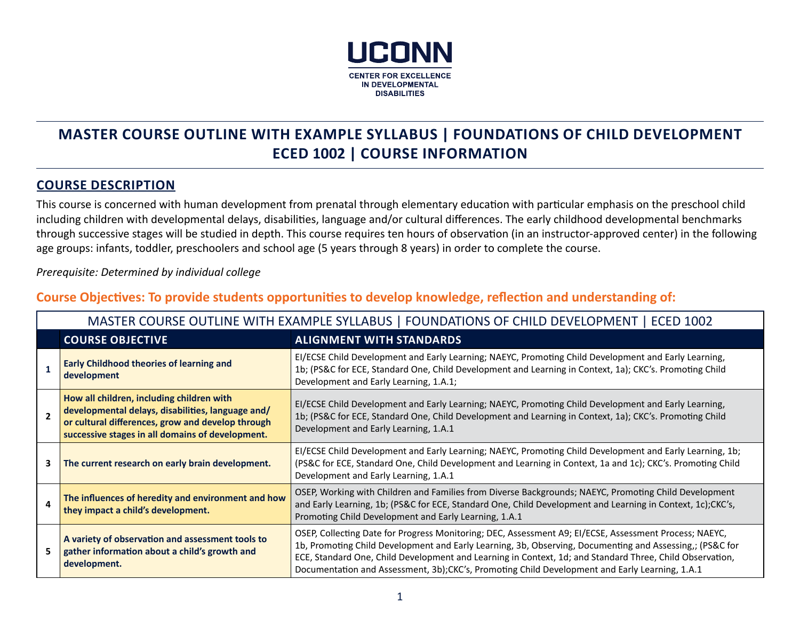

# **MASTER COURSE OUTLINE WITH EXAMPLE SYLLABUS | FOUNDATIONS OF CHILD DEVELOPMENT ECED 1002 | COURSE INFORMATION**

## **COURSE DESCRIPTION**

This course is concerned with human development from prenatal through elementary education with particular emphasis on the preschool child including children with developmental delays, disabilities, language and/or cultural differences. The early childhood developmental benchmarks through successive stages will be studied in depth. This course requires ten hours of observation (in an instructor-approved center) in the following age groups: infants, toddler, preschoolers and school age (5 years through 8 years) in order to complete the course.

*Prerequisite: Determined by individual college*

## **Course Objectives: To provide students opportunities to develop knowledge, reflection and understanding of:**

|                                                                                                                                                        | MASTER COURSE OUTLINE WITH EXAMPLE SYLLABUS   FOUNDATIONS OF CHILD DEVELOPMENT   ECED 1002                                                                                                              |                                                                                                                                                                                                                                                                                                                                                                                                                                  |  |  |
|--------------------------------------------------------------------------------------------------------------------------------------------------------|---------------------------------------------------------------------------------------------------------------------------------------------------------------------------------------------------------|----------------------------------------------------------------------------------------------------------------------------------------------------------------------------------------------------------------------------------------------------------------------------------------------------------------------------------------------------------------------------------------------------------------------------------|--|--|
|                                                                                                                                                        | <b>COURSE OBJECTIVE</b>                                                                                                                                                                                 | <b>ALIGNMENT WITH STANDARDS</b>                                                                                                                                                                                                                                                                                                                                                                                                  |  |  |
|                                                                                                                                                        | <b>Early Childhood theories of learning and</b><br>development                                                                                                                                          | EI/ECSE Child Development and Early Learning; NAEYC, Promoting Child Development and Early Learning,<br>1b; (PS&C for ECE, Standard One, Child Development and Learning in Context, 1a); CKC's. Promoting Child<br>Development and Early Learning, 1.A.1;                                                                                                                                                                        |  |  |
| $\overline{\phantom{a}}$                                                                                                                               | How all children, including children with<br>developmental delays, disabilities, language and/<br>or cultural differences, grow and develop through<br>successive stages in all domains of development. | EI/ECSE Child Development and Early Learning; NAEYC, Promoting Child Development and Early Learning,<br>1b; (PS&C for ECE, Standard One, Child Development and Learning in Context, 1a); CKC's. Promoting Child<br>Development and Early Learning, 1.A.1                                                                                                                                                                         |  |  |
| 3                                                                                                                                                      | The current research on early brain development.                                                                                                                                                        | EI/ECSE Child Development and Early Learning; NAEYC, Promoting Child Development and Early Learning, 1b;<br>(PS&C for ECE, Standard One, Child Development and Learning in Context, 1a and 1c); CKC's. Promoting Child<br>Development and Early Learning, 1.A.1                                                                                                                                                                  |  |  |
| The influences of heredity and environment and how<br>4<br>they impact a child's development.<br>Promoting Child Development and Early Learning, 1.A.1 |                                                                                                                                                                                                         | OSEP, Working with Children and Families from Diverse Backgrounds; NAEYC, Promoting Child Development<br>and Early Learning, 1b; (PS&C for ECE, Standard One, Child Development and Learning in Context, 1c);CKC's,                                                                                                                                                                                                              |  |  |
|                                                                                                                                                        | A variety of observation and assessment tools to<br>gather information about a child's growth and<br>development.                                                                                       | OSEP, Collecting Date for Progress Monitoring; DEC, Assessment A9; EI/ECSE, Assessment Process; NAEYC,<br>1b, Promoting Child Development and Early Learning, 3b, Observing, Documenting and Assessing,; (PS&C for<br>ECE, Standard One, Child Development and Learning in Context, 1d; and Standard Three, Child Observation,<br>Documentation and Assessment, 3b);CKC's, Promoting Child Development and Early Learning, 1.A.1 |  |  |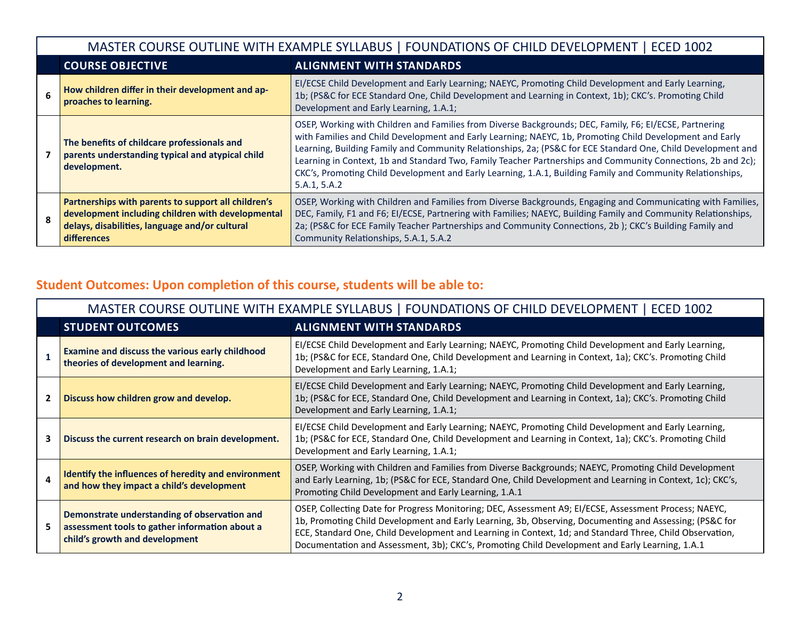| MASTER COURSE OUTLINE WITH EXAMPLE SYLLABUS   FOUNDATIONS OF CHILD DEVELOPMENT  <br>  ECED 1002                                                                                  |                                                                                                                                                                                                                                                                                                                                                                                                                                                                                                                                                                                   |  |  |
|----------------------------------------------------------------------------------------------------------------------------------------------------------------------------------|-----------------------------------------------------------------------------------------------------------------------------------------------------------------------------------------------------------------------------------------------------------------------------------------------------------------------------------------------------------------------------------------------------------------------------------------------------------------------------------------------------------------------------------------------------------------------------------|--|--|
| <b>COURSE OBJECTIVE</b>                                                                                                                                                          | <b>ALIGNMENT WITH STANDARDS</b>                                                                                                                                                                                                                                                                                                                                                                                                                                                                                                                                                   |  |  |
| How children differ in their development and ap-<br>proaches to learning.                                                                                                        | EI/ECSE Child Development and Early Learning; NAEYC, Promoting Child Development and Early Learning,<br>1b; (PS&C for ECE Standard One, Child Development and Learning in Context, 1b); CKC's. Promoting Child<br>Development and Early Learning, 1.A.1;                                                                                                                                                                                                                                                                                                                          |  |  |
| The benefits of childcare professionals and<br>parents understanding typical and atypical child<br>development.                                                                  | OSEP, Working with Children and Families from Diverse Backgrounds; DEC, Family, F6; EI/ECSE, Partnering<br>with Families and Child Development and Early Learning; NAEYC, 1b, Promoting Child Development and Early<br>Learning, Building Family and Community Relationships, 2a; (PS&C for ECE Standard One, Child Development and<br>Learning in Context, 1b and Standard Two, Family Teacher Partnerships and Community Connections, 2b and 2c);<br>CKC's, Promoting Child Development and Early Learning, 1.A.1, Building Family and Community Relationships,<br>5.A.1, 5.A.2 |  |  |
| Partnerships with parents to support all children's<br>development including children with developmental<br>delays, disabilities, language and/or cultural<br><b>differences</b> | OSEP, Working with Children and Families from Diverse Backgrounds, Engaging and Communicating with Families,<br>DEC, Family, F1 and F6; El/ECSE, Partnering with Families; NAEYC, Building Family and Community Relationships,<br>2a; (PS&C for ECE Family Teacher Partnerships and Community Connections, 2b); CKC's Building Family and<br>Community Relationships, 5.A.1, 5.A.2                                                                                                                                                                                                |  |  |

# **Student Outcomes: Upon completion of this course, students will be able to:**

|              | MASTER COURSE OUTLINE WITH EXAMPLE SYLLABUS   FOUNDATIONS OF CHILD DEVELOPMENT   ECED 1002                                       |                                                                                                                                                                                                                                                                                                                                                                                                                                  |  |  |
|--------------|----------------------------------------------------------------------------------------------------------------------------------|----------------------------------------------------------------------------------------------------------------------------------------------------------------------------------------------------------------------------------------------------------------------------------------------------------------------------------------------------------------------------------------------------------------------------------|--|--|
|              | <b>STUDENT OUTCOMES</b>                                                                                                          | <b>ALIGNMENT WITH STANDARDS</b>                                                                                                                                                                                                                                                                                                                                                                                                  |  |  |
|              | <b>Examine and discuss the various early childhood</b><br>theories of development and learning.                                  | EI/ECSE Child Development and Early Learning; NAEYC, Promoting Child Development and Early Learning,<br>1b; (PS&C for ECE, Standard One, Child Development and Learning in Context, 1a); CKC's. Promoting Child<br>Development and Early Learning, 1.A.1;                                                                                                                                                                        |  |  |
| $\mathbf{2}$ | Discuss how children grow and develop.                                                                                           | EI/ECSE Child Development and Early Learning; NAEYC, Promoting Child Development and Early Learning,<br>1b; (PS&C for ECE, Standard One, Child Development and Learning in Context, 1a); CKC's. Promoting Child<br>Development and Early Learning, 1.A.1;                                                                                                                                                                        |  |  |
| 3            | Discuss the current research on brain development.                                                                               | EI/ECSE Child Development and Early Learning; NAEYC, Promoting Child Development and Early Learning,<br>1b; (PS&C for ECE, Standard One, Child Development and Learning in Context, 1a); CKC's. Promoting Child<br>Development and Early Learning, 1.A.1;                                                                                                                                                                        |  |  |
| 4            | Identify the influences of heredity and environment<br>and how they impact a child's development                                 | OSEP, Working with Children and Families from Diverse Backgrounds; NAEYC, Promoting Child Development<br>and Early Learning, 1b; (PS&C for ECE, Standard One, Child Development and Learning in Context, 1c); CKC's,<br>Promoting Child Development and Early Learning, 1.A.1                                                                                                                                                    |  |  |
| 5            | Demonstrate understanding of observation and<br>assessment tools to gather information about a<br>child's growth and development | OSEP, Collecting Date for Progress Monitoring; DEC, Assessment A9; El/ECSE, Assessment Process; NAEYC,<br>1b, Promoting Child Development and Early Learning, 3b, Observing, Documenting and Assessing; (PS&C for<br>ECE, Standard One, Child Development and Learning in Context, 1d; and Standard Three, Child Observation,<br>Documentation and Assessment, 3b); CKC's, Promoting Child Development and Early Learning, 1.A.1 |  |  |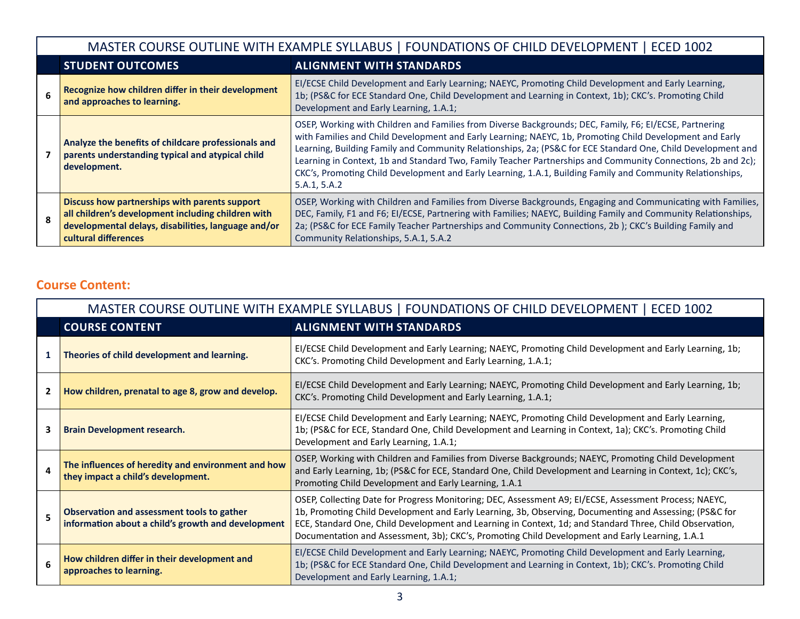|                                                                                                                                                                                                                                             | MASTER COURSE OUTLINE WITH EXAMPLE SYLLABUS   FOUNDATIONS OF CHILD DEVELOPMENT   ECED 1002                              |                                                                                                                                                                                                                                                                                                                                                                                                                                                                                                                                                                                   |  |  |
|---------------------------------------------------------------------------------------------------------------------------------------------------------------------------------------------------------------------------------------------|-------------------------------------------------------------------------------------------------------------------------|-----------------------------------------------------------------------------------------------------------------------------------------------------------------------------------------------------------------------------------------------------------------------------------------------------------------------------------------------------------------------------------------------------------------------------------------------------------------------------------------------------------------------------------------------------------------------------------|--|--|
|                                                                                                                                                                                                                                             | <b>STUDENT OUTCOMES</b>                                                                                                 | <b>ALIGNMENT WITH STANDARDS</b>                                                                                                                                                                                                                                                                                                                                                                                                                                                                                                                                                   |  |  |
|                                                                                                                                                                                                                                             | Recognize how children differ in their development<br>and approaches to learning.                                       | EI/ECSE Child Development and Early Learning; NAEYC, Promoting Child Development and Early Learning,<br>1b; (PS&C for ECE Standard One, Child Development and Learning in Context, 1b); CKC's. Promoting Child<br>Development and Early Learning, 1.A.1;                                                                                                                                                                                                                                                                                                                          |  |  |
|                                                                                                                                                                                                                                             | Analyze the benefits of childcare professionals and<br>parents understanding typical and atypical child<br>development. | OSEP, Working with Children and Families from Diverse Backgrounds; DEC, Family, F6; EI/ECSE, Partnering<br>with Families and Child Development and Early Learning; NAEYC, 1b, Promoting Child Development and Early<br>Learning, Building Family and Community Relationships, 2a; (PS&C for ECE Standard One, Child Development and<br>Learning in Context, 1b and Standard Two, Family Teacher Partnerships and Community Connections, 2b and 2c);<br>CKC's, Promoting Child Development and Early Learning, 1.A.1, Building Family and Community Relationships,<br>5.A.1, 5.A.2 |  |  |
| Discuss how partnerships with parents support<br>all children's development including children with<br>$\mathbf{R}$<br>developmental delays, disabilities, language and/or<br>cultural differences<br>Community Relationships, 5.A.1, 5.A.2 |                                                                                                                         | OSEP, Working with Children and Families from Diverse Backgrounds, Engaging and Communicating with Families,<br>DEC, Family, F1 and F6; El/ECSE, Partnering with Families; NAEYC, Building Family and Community Relationships,<br>2a; (PS&C for ECE Family Teacher Partnerships and Community Connections, 2b); CKC's Building Family and                                                                                                                                                                                                                                         |  |  |

# **Course Content:**

|              | MASTER COURSE OUTLINE WITH EXAMPLE SYLLABUS   FOUNDATIONS OF CHILD DEVELOPMENT   ECED 1002       |                                                                                                                                                                                                                                                                                                                                                                                                                                  |  |  |
|--------------|--------------------------------------------------------------------------------------------------|----------------------------------------------------------------------------------------------------------------------------------------------------------------------------------------------------------------------------------------------------------------------------------------------------------------------------------------------------------------------------------------------------------------------------------|--|--|
|              | <b>COURSE CONTENT</b><br><b>ALIGNMENT WITH STANDARDS</b>                                         |                                                                                                                                                                                                                                                                                                                                                                                                                                  |  |  |
| 1            | Theories of child development and learning.                                                      | EI/ECSE Child Development and Early Learning; NAEYC, Promoting Child Development and Early Learning, 1b;<br>CKC's. Promoting Child Development and Early Learning, 1.A.1;                                                                                                                                                                                                                                                        |  |  |
| $\mathbf{2}$ | How children, prenatal to age 8, grow and develop.                                               | EI/ECSE Child Development and Early Learning; NAEYC, Promoting Child Development and Early Learning, 1b;<br>CKC's. Promoting Child Development and Early Learning, 1.A.1;                                                                                                                                                                                                                                                        |  |  |
| 3            | <b>Brain Development research.</b>                                                               | EI/ECSE Child Development and Early Learning; NAEYC, Promoting Child Development and Early Learning,<br>1b; (PS&C for ECE, Standard One, Child Development and Learning in Context, 1a); CKC's. Promoting Child<br>Development and Early Learning, 1.A.1;                                                                                                                                                                        |  |  |
| 4            | The influences of heredity and environment and how<br>they impact a child's development.         | OSEP, Working with Children and Families from Diverse Backgrounds; NAEYC, Promoting Child Development<br>and Early Learning, 1b; (PS&C for ECE, Standard One, Child Development and Learning in Context, 1c); CKC's,<br>Promoting Child Development and Early Learning, 1.A.1                                                                                                                                                    |  |  |
| 5            | Observation and assessment tools to gather<br>information about a child's growth and development | OSEP, Collecting Date for Progress Monitoring; DEC, Assessment A9; El/ECSE, Assessment Process; NAEYC,<br>1b, Promoting Child Development and Early Learning, 3b, Observing, Documenting and Assessing; (PS&C for<br>ECE, Standard One, Child Development and Learning in Context, 1d; and Standard Three, Child Observation,<br>Documentation and Assessment, 3b); CKC's, Promoting Child Development and Early Learning, 1.A.1 |  |  |
| 6            | How children differ in their development and<br>approaches to learning.                          | EI/ECSE Child Development and Early Learning; NAEYC, Promoting Child Development and Early Learning,<br>1b; (PS&C for ECE Standard One, Child Development and Learning in Context, 1b); CKC's. Promoting Child<br>Development and Early Learning, 1.A.1;                                                                                                                                                                         |  |  |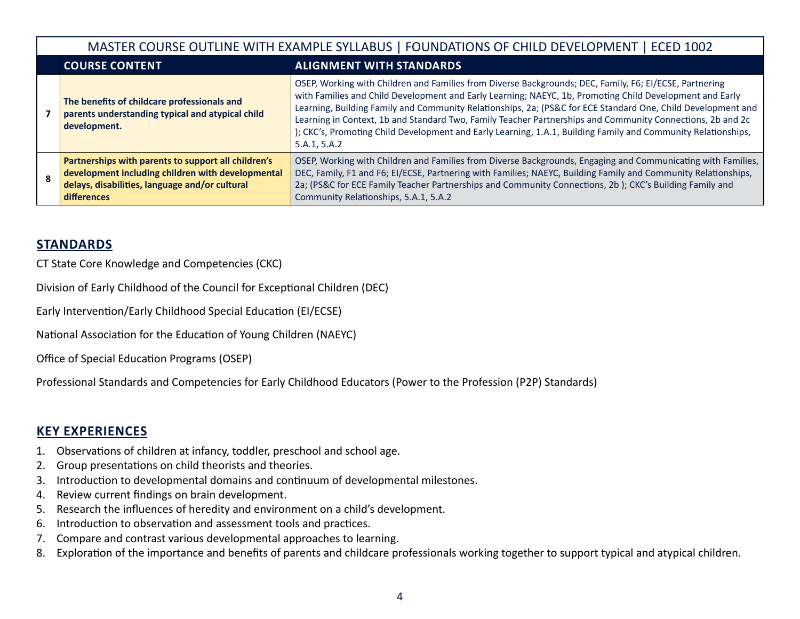| MASTER COURSE OUTLINE WITH EXAMPLE SYLLABUS   FOUNDATIONS OF CHILD DEVELOPMENT   ECED 1002 |                                                                                                                                                                                  |                                                                                                                                                                                                                                                                                                                                                                                                                                                                                                                                                                                    |  |  |
|--------------------------------------------------------------------------------------------|----------------------------------------------------------------------------------------------------------------------------------------------------------------------------------|------------------------------------------------------------------------------------------------------------------------------------------------------------------------------------------------------------------------------------------------------------------------------------------------------------------------------------------------------------------------------------------------------------------------------------------------------------------------------------------------------------------------------------------------------------------------------------|--|--|
|                                                                                            | <b>COURSE CONTENT</b>                                                                                                                                                            | <b>ALIGNMENT WITH STANDARDS</b>                                                                                                                                                                                                                                                                                                                                                                                                                                                                                                                                                    |  |  |
|                                                                                            | The benefits of childcare professionals and<br>parents understanding typical and atypical child<br>development.                                                                  | OSEP, Working with Children and Families from Diverse Backgrounds; DEC, Family, F6; El/ECSE, Partnering<br>with Families and Child Development and Early Learning; NAEYC, 1b, Promoting Child Development and Early<br>Learning, Building Family and Community Relationships, 2a; (PS&C for ECE Standard One, Child Development and<br>Learning in Context, 1b and Standard Two, Family Teacher Partnerships and Community Connections, 2b and 2c<br>); CKC's, Promoting Child Development and Early Learning, 1.A.1, Building Family and Community Relationships,<br>5.A.1, 5.A.2 |  |  |
| $\mathbf{R}$                                                                               | Partnerships with parents to support all children's<br>development including children with developmental<br>delays, disabilities, language and/or cultural<br><b>differences</b> | OSEP, Working with Children and Families from Diverse Backgrounds, Engaging and Communicating with Families,<br>DEC, Family, F1 and F6; El/ECSE, Partnering with Families; NAEYC, Building Family and Community Relationships,<br>2a; (PS&C for ECE Family Teacher Partnerships and Community Connections, 2b); CKC's Building Family and<br>Community Relationships, 5.A.1, 5.A.2                                                                                                                                                                                                 |  |  |

## **STANDARDS**

CT State Core Knowledge and Competencies (CKC)

Division of Early Childhood of the Council for Exceptional Children (DEC)

Early Intervention/Early Childhood Special Education (EI/ECSE)

National Association for the Education of Young Children (NAEYC)

Office of Special Education Programs (OSEP)

Professional Standards and Competencies for Early Childhood Educators (Power to the Profession (P2P) Standards)

# **KEY EXPERIENCES**

- 1. Observations of children at infancy, toddler, preschool and school age.
- 2. Group presentations on child theorists and theories.
- 3. Introduction to developmental domains and continuum of developmental milestones.
- 4. Review current findings on brain development.
- 5. Research the influences of heredity and environment on a child's development.
- 6. Introduction to observation and assessment tools and practices.
- 7. Compare and contrast various developmental approaches to learning.
- 8. Exploration of the importance and benefits of parents and childcare professionals working together to support typical and atypical children.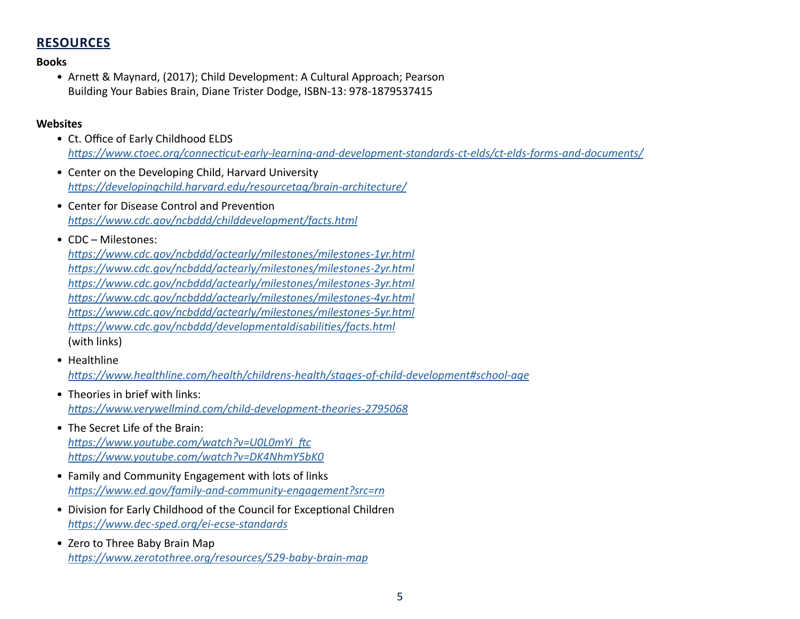# **RESOURCES**

#### **Books**

• Arnett & Maynard, (2017); Child Development: A Cultural Approach; Pearson Building Your Babies Brain, Diane Trister Dodge, ISBN-13: 978-1879537415

#### **Websites**

- Ct. Office of Early Childhood ELDS *<https://www.ctoec.org/connecticut-early-learning-and-development-standards-ct-elds/ct-elds-forms-and-documents/>*
- Center on the Developing Child, Harvard University *<https://developingchild.harvard.edu/resourcetag/brain-architecture/>*
- Center for Disease Control and Prevention *<https://www.cdc.gov/ncbddd/childdevelopment/facts.html>*

### • CDC – Milestones:

*<https://www.cdc.gov/ncbddd/actearly/milestones/milestones-1yr.html> <https://www.cdc.gov/ncbddd/actearly/milestones/milestones-2yr.html> <https://www.cdc.gov/ncbddd/actearly/milestones/milestones-3yr.html> <https://www.cdc.gov/ncbddd/actearly/milestones/milestones-4yr.html> <https://www.cdc.gov/ncbddd/actearly/milestones/milestones-5yr.html> <https://www.cdc.gov/ncbddd/developmentaldisabilities/facts.html>* (with links)

- Healthline *<https://www.healthline.com/health/childrens-health/stages-of-child-development#school-age>*
- Theories in brief with links: *<https://www.verywellmind.com/child-development-theories-2795068>*
- The Secret Life of the Brain: *[https://www.youtube.com/watch?v=U0L0mYi\\_ftc](https://www.youtube.com/watch?v=U0L0mYi_ftc) <https://www.youtube.com/watch?v=DK4NhmY5bK0>*
- Family and Community Engagement with lots of links *<https://www.ed.gov/family-and-community-engagement?src=rn>*
- Division for Early Childhood of the Council for Exceptional Children *<https://www.dec-sped.org/ei-ecse-standards>*
- Zero to Three Baby Brain Map *<https://www.zerotothree.org/resources/529-baby-brain-map>*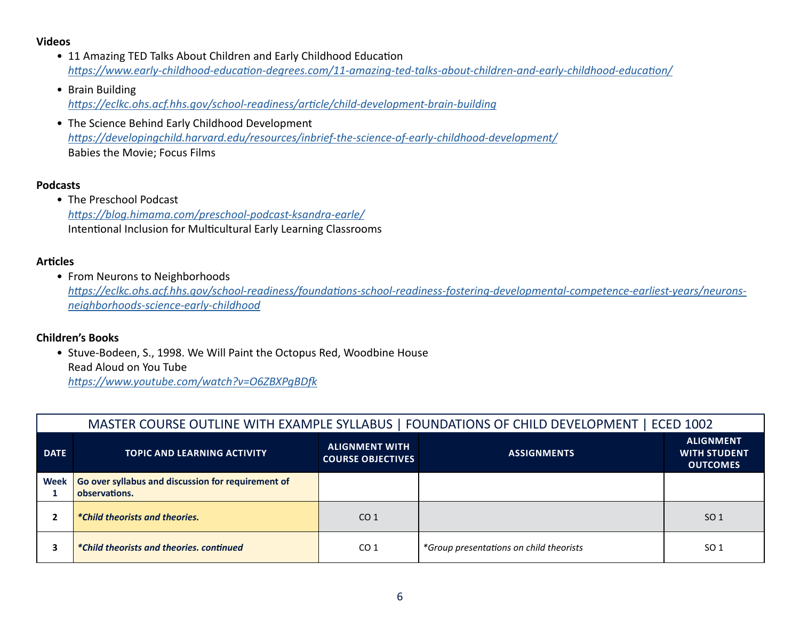#### **Videos**

- 11 Amazing TED Talks About Children and Early Childhood Education *<https://www.early-childhood-education-degrees.com/11-amazing-ted-talks-about-children-and-early-childhood-education/>*
- Brain Building *<https://eclkc.ohs.acf.hhs.gov/school-readiness/article/child-development-brain-building>*
- The Science Behind Early Childhood Development *<https://developingchild.harvard.edu/resources/inbrief-the-science-of-early-childhood-development/>* Babies the Movie; Focus Films

#### **Podcasts**

• The Preschool Podcast *[https://blog.himama.com/preschool-podcast-ksandra-earle/](https://www.himama.com/blog/preschool-podcast-ksandra-earle/)* Intentional Inclusion for Multicultural Early Learning Classrooms

### **Articles**

• From Neurons to Neighborhoods

*[https://eclkc.ohs.acf.hhs.gov/school-readiness/foundations-school-readiness-fostering-developmental-competence-earliest-years/neurons](https://eclkc.ohs.acf.hhs.gov/school-readiness/foundations-school-readiness-fostering-developmental-competence-earliest-years/neurons-neighborhoods-science-early-childhood)[neighborhoods-science-early-childhood](https://eclkc.ohs.acf.hhs.gov/school-readiness/foundations-school-readiness-fostering-developmental-competence-earliest-years/neurons-neighborhoods-science-early-childhood)*

## **Children's Books**

• Stuve-Bodeen, S., 1998. We Will Paint the Octopus Red, Woodbine House Read Aloud on You Tube

*<https://www.youtube.com/watch?v=O6ZBXPgBDfk>*

|             | MASTER COURSE OUTLINE WITH EXAMPLE SYLLABUS   FOUNDATIONS OF CHILD DEVELOPMENT   ECED 1002 |                                                   |                                         |                                                            |
|-------------|--------------------------------------------------------------------------------------------|---------------------------------------------------|-----------------------------------------|------------------------------------------------------------|
| <b>DATE</b> | <b>TOPIC AND LEARNING ACTIVITY</b>                                                         | <b>ALIGNMENT WITH</b><br><b>COURSE OBJECTIVES</b> | <b>ASSIGNMENTS</b>                      | <b>ALIGNMENT</b><br><b>WITH STUDENT</b><br><b>OUTCOMES</b> |
| <b>Week</b> | Go over syllabus and discussion for requirement of<br>observations.                        |                                                   |                                         |                                                            |
|             | <i>*Child theorists and theories.</i>                                                      | CO <sub>1</sub>                                   |                                         | SO <sub>1</sub>                                            |
|             | *Child theorists and theories, continued                                                   | CO <sub>1</sub>                                   | *Group presentations on child theorists | SO <sub>1</sub>                                            |